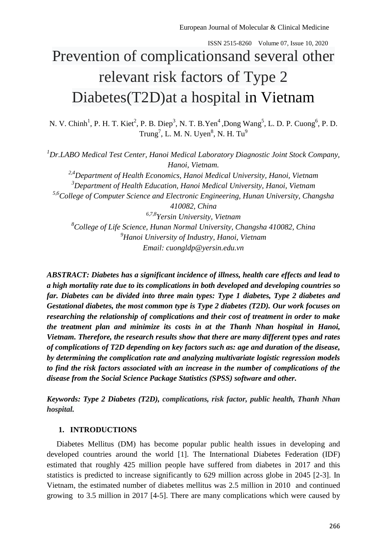# Prevention of complicationsand several other relevant risk factors of Type 2 Diabetes(T2D)at a hospital in Vietnam

N. V. Chinh<sup>1</sup>, P. H. T. Kiet<sup>2</sup>, P. B. Diep<sup>3</sup>, N. T. B. Yen<sup>4</sup>, Dong Wang<sup>5</sup>, L. D. P. Cuong<sup>6</sup>, P. D. Trung<sup>7</sup>, L. M. N. Uyen<sup>8</sup>, N. H. Tu<sup>9</sup>

*<sup>1</sup>Dr.LABO Medical Test Center, Hanoi Medical Laboratory Diagnostic Joint Stock Company, Hanoi, Vietnam. 2,4Department of Health Economics, Hanoi Medical University, Hanoi, Vietnam <sup>3</sup>Department of Health Education, Hanoi Medical University, Hanoi, Vietnam 5,6College of Computer Science and Electronic Engineering, Hunan University, Changsha 410082, China 6,7,8Yersin University, Vietnam <sup>8</sup>College of Life Science, Hunan Normal University, Changsha 410082, China <sup>9</sup>Hanoi University of Industry, Hanoi, Vietnam Email: [cuongldp@yersin.edu.vn](mailto:cuongldp@yersin.edu.vn)*

*ABSTRACT: Diabetes has a significant incidence of illness, health care effects and lead to a high mortality rate due to its complications in both developed and developing countries so far. Diabetes can be divided into three main types: Type 1 diabetes, Type 2 diabetes and Gestational diabetes, the most common type is Type 2 diabetes (T2D). Our work focuses on researching the relationship of complications and their cost of treatment in order to make the treatment plan and minimize its costs in at the Thanh Nhan hospital in Hanoi, Vietnam. Therefore, the research results show that there are many different types and rates of complications of T2D depending on key factors such as: age and duration of the disease, by determining the complication rate and analyzing multivariate logistic regression models to find the risk factors associated with an increase in the number of complications of the disease from the Social Science Package Statistics (SPSS) software and other.*

*Keywords: Type 2 Diabetes (T2D), complications, risk factor, public health, Thanh Nhan hospital.*

# **1. INTRODUCTIONS**

 Diabetes Mellitus (DM) has become popular public health issues in developing and developed countries around the world [1]. The International Diabetes Federation (IDF) estimated that roughly 425 million people have suffered from diabetes in 2017 and this statistics is predicted to increase significantly to 629 million across globe in 2045 [2-3]. In Vietnam, the estimated number of diabetes mellitus was 2.5 million in 2010 and continued growing to 3.5 million in 2017 [4-5]. There are many complications which were caused by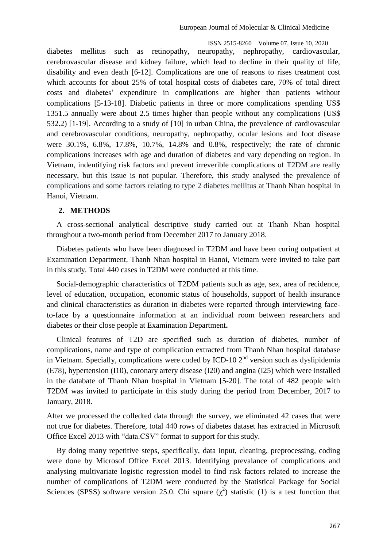diabetes mellitus such as retinopathy, neuropathy, nephropathy, cardiovascular, cerebrovascular disease and kidney failure, which lead to decline in their quality of life, disability and even death [6-12]. Complications are one of reasons to rises treatment cost which accounts for about 25% of total hospital costs of diabetes care, 70% of total direct costs and diabetes' expenditure in complications are higher than patients without complications [5-13-18]. Diabetic patients in three or more complications spending US\$ 1351.5 annually were about 2.5 times higher than people without any complications (US\$ 532.2) [1-19]. According to a study of [10] in urban China, the prevalence of cardiovascular and cerebrovascular conditions, neuropathy, nephropathy, ocular lesions and foot disease were 30.1%, 6.8%, 17.8%, 10.7%, 14.8% and 0.8%, respectively; the rate of chronic complications increases with age and duration of diabetes and vary depending on region. In Vietnam, indentifying risk factors and prevent irreverible complications of T2DM are really necessary, but this issue is not pupular. Therefore, this study analysed the prevalence of complications and some factors relating to type 2 diabetes mellitus at Thanh Nhan hospital in Hanoi, Vietnam.

### **2. METHODS**

 A cross-sectional analytical descriptive study carried out at Thanh Nhan hospital throughout a two-month period from December 2017 to January 2018.

 Diabetes patients who have been diagnosed in T2DM and have been curing outpatient at Examination Department, Thanh Nhan hospital in Hanoi, Vietnam were invited to take part in this study. Total 440 cases in T2DM were conducted at this time.

 Social-demographic characteristics of T2DM patients such as age, sex, area of recidence, level of education, occupation, economic status of households, support of health insurance and clinical characteristics as duration in diabetes were reported through interviewing faceto-face by a questionnaire information at an individual room between researchers and diabetes or their close people at Examination Department**.** 

 Clinical features of T2D are specified such as duration of diabetes, number of complications, name and type of complication extracted from Thanh Nhan hospital database in Vietnam. Specially, complications were coded by ICD-10  $2<sup>nd</sup>$  version such as dyslipidemia (E78), hypertension (I10), coronary artery disease (I20) and angina (I25) which were installed in the databate of Thanh Nhan hospital in Vietnam [5-20]. The total of 482 people with T2DM was invited to participate in this study during the period from December, 2017 to January, 2018.

After we processed the colledted data through the survey, we eliminated 42 cases that were not true for diabetes. Therefore, total 440 rows of diabetes dataset has extracted in Microsoft Office Excel 2013 with "data.CSV" format to support for this study.

 By doing many repetitive steps, specifically, data input, cleaning, preprocessing, coding were done by Microsof Office Excel 2013. Identifying prevalance of complications and analysing multivariate logistic regression model to find risk factors related to increase the number of complications of T2DM were conducted by the Statistical Package for Social Sciences (SPSS) software version 25.0. Chi square  $(\chi^2)$  statistic (1) is a test function that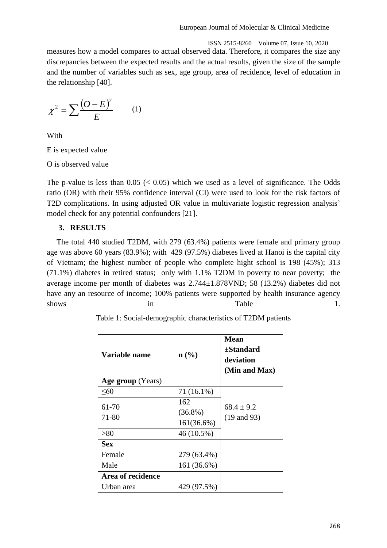ISSN 2515-8260 Volume 07, Issue 10, 2020 measures how a model compares to actual observed data. Therefore, it compares the size any discrepancies between the expected results and the actual results, given the size of the sample and the number of variables such as sex, age group, area of recidence, level of education in the relationship [40].

$$
\chi^2 = \sum \frac{(O - E)^2}{E} \qquad (1)
$$

With

E is expected value

O is observed value

The p-value is less than  $0.05 \leq 0.05$ ) which we used as a level of significance. The Odds ratio (OR) with their 95% confidence interval (CI) were used to look for the risk factors of T2D complications. In using adjusted OR value in multivariate logistic regression analysis' model check for any potential confounders [21].

# **3. RESULTS**

The total 440 studied T2DM, with 279 (63.4%) patients were female and primary group age was above 60 years (83.9%); with 429 (97.5%) diabetes lived at Hanoi is the capital city of Vietnam; the highest number of people who complete hight school is 198 (45%); 313 (71.1%) diabetes in retired status; only with 1.1% T2DM in poverty to near poverty; the average income per month of diabetes was 2.744±1.878VND; 58 (13.2%) diabetes did not have any an resource of income; 100% patients were supported by health insurance agency shows in Table 1.

| <b>Variable name</b> | n(%)                            | Mean<br>±Standard<br>deviation<br>(Min and Max) |
|----------------------|---------------------------------|-------------------------------------------------|
| Age group (Years)    |                                 |                                                 |
| $<\!\!60$            | 71 (16.1%)                      |                                                 |
| 61-70<br>71-80       | 162<br>$(36.8\%)$<br>161(36.6%) | $68.4 \pm 9.2$<br>$(19 \text{ and } 93)$        |
| > 80                 | 46 (10.5%)                      |                                                 |
| <b>Sex</b>           |                                 |                                                 |
| Female               | 279 (63.4%)                     |                                                 |
| Male                 | 161 (36.6%)                     |                                                 |
| Area of recidence    |                                 |                                                 |
| Urban area           | 429 (97.5%)                     |                                                 |

Table 1: Social-demographic characteristics of T2DM patients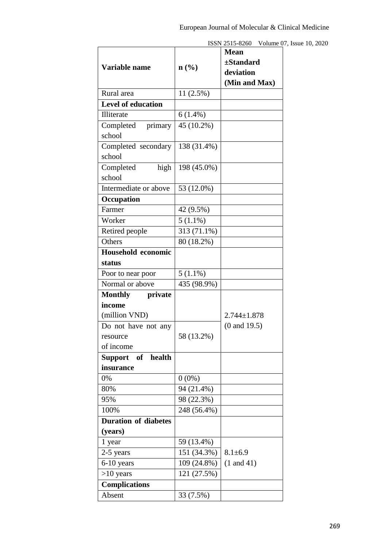|                             |                             | <b>Mean</b>             |  |  |  |  |
|-----------------------------|-----------------------------|-------------------------|--|--|--|--|
|                             |                             | ±Standard               |  |  |  |  |
| Variable name               | $n\left(\frac{0}{0}\right)$ | deviation               |  |  |  |  |
|                             |                             | (Min and Max)           |  |  |  |  |
| Rural area                  | 11(2.5%)                    |                         |  |  |  |  |
| <b>Level of education</b>   |                             |                         |  |  |  |  |
| Illiterate                  | $6(1.4\%)$                  |                         |  |  |  |  |
| Completed primary           | $\overline{45}$ (10.2%)     |                         |  |  |  |  |
| school                      |                             |                         |  |  |  |  |
| Completed secondary         | 138 (31.4%)                 |                         |  |  |  |  |
| school                      |                             |                         |  |  |  |  |
| high<br>Completed           | 198 (45.0%)                 |                         |  |  |  |  |
| school                      |                             |                         |  |  |  |  |
| Intermediate or above       | 53 (12.0%)                  |                         |  |  |  |  |
| Occupation                  |                             |                         |  |  |  |  |
| Farmer                      | 42 (9.5%)                   |                         |  |  |  |  |
| Worker                      | $5(1.1\%)$                  |                         |  |  |  |  |
| Retired people              | $\overline{3}13(71.1\%)$    |                         |  |  |  |  |
| Others                      | 80 (18.2%)                  |                         |  |  |  |  |
| Household economic          |                             |                         |  |  |  |  |
| status                      |                             |                         |  |  |  |  |
| Poor to near poor           | $5(1.1\%)$                  |                         |  |  |  |  |
| Normal or above             | 435 (98.9%)                 |                         |  |  |  |  |
| Monthly private             |                             |                         |  |  |  |  |
| income                      |                             |                         |  |  |  |  |
| (million VND)               |                             | $2.744 \pm 1.878$       |  |  |  |  |
| Do not have not any         |                             | $(0 \text{ and } 19.5)$ |  |  |  |  |
| resource                    | 58 (13.2%)                  |                         |  |  |  |  |
| of income                   |                             |                         |  |  |  |  |
| Support of health           |                             |                         |  |  |  |  |
| insurance                   |                             |                         |  |  |  |  |
| 0%                          | $0(0\%)$                    |                         |  |  |  |  |
| 80%                         | 94 (21.4%)                  |                         |  |  |  |  |
| 95%                         | 98 (22.3%)                  |                         |  |  |  |  |
| 100%                        | 248 (56.4%)                 |                         |  |  |  |  |
| <b>Duration of diabetes</b> |                             |                         |  |  |  |  |
| (years)                     |                             |                         |  |  |  |  |
| 1 year                      | 59 (13.4%)                  |                         |  |  |  |  |
| 2-5 years                   | 151 (34.3%)                 | $8.1 \pm 6.9$           |  |  |  |  |
| $6-10$ years                | 109 (24.8%)                 | $(1$ and $41)$          |  |  |  |  |
| $>10$ years                 | 121 (27.5%)                 |                         |  |  |  |  |
| <b>Complications</b>        |                             |                         |  |  |  |  |
| Absent                      | 33 (7.5%)                   |                         |  |  |  |  |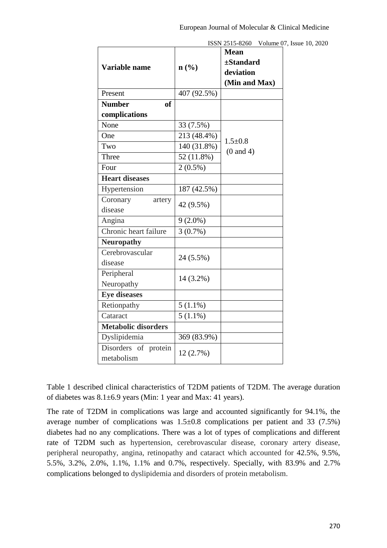|                                    |             | ISSN 2515-8260<br>Volume 07                                 |
|------------------------------------|-------------|-------------------------------------------------------------|
| Variable name                      | n(%)        | <b>Mean</b><br>$\pm$ Standard<br>deviation<br>(Min and Max) |
| Present                            | 407 (92.5%) |                                                             |
| <b>Number</b><br><b>of</b>         |             |                                                             |
| complications                      |             |                                                             |
| None                               | 33 (7.5%)   |                                                             |
| One                                | 213 (48.4%) | $1.5 \pm 0.8$                                               |
| Two                                | 140 (31.8%) | $(0 \text{ and } 4)$                                        |
| Three                              | 52 (11.8%)  |                                                             |
| Four                               | $2(0.5\%)$  |                                                             |
| <b>Heart diseases</b>              |             |                                                             |
| Hypertension                       | 187 (42.5%) |                                                             |
| Coronary<br>artery                 |             |                                                             |
| disease                            | 42 (9.5%)   |                                                             |
| Angina                             | $9(2.0\%)$  |                                                             |
| Chronic heart failure              | 3(0.7%)     |                                                             |
| <b>Neuropathy</b>                  |             |                                                             |
| Cerebrovascular<br>disease         | 24 (5.5%)   |                                                             |
| Peripheral<br>Neuropathy           | 14 (3.2%)   |                                                             |
| <b>Eye diseases</b>                |             |                                                             |
| Retionpathy                        | $5(1.1\%)$  |                                                             |
| Cataract                           | $5(1.1\%)$  |                                                             |
| <b>Metabolic disorders</b>         |             |                                                             |
| Dyslipidemia                       | 369 (83.9%) |                                                             |
| Disorders of protein<br>metabolism | 12(2.7%)    |                                                             |

7, Issue 10, 2020

Table 1 described clinical characteristics of T2DM patients of T2DM. The average duration of diabetes was  $8.1\pm6.9$  years (Min: 1 year and Max: 41 years).

The rate of T2DM in complications was large and accounted significantly for 94.1%, the average number of complications was 1.5±0.8 complications per patient and 33 (7.5%) diabetes had no any complications. There was a lot of types of complications and different rate of T2DM such as hypertension, cerebrovascular disease, coronary artery disease, peripheral neuropathy, angina, retinopathy and cataract which accounted for 42.5%, 9.5%, 5.5%, 3.2%, 2.0%, 1.1%, 1.1% and 0.7%, respectively. Specially, with 83.9% and 2.7% complications belonged to dyslipidemia and disorders of protein metabolism.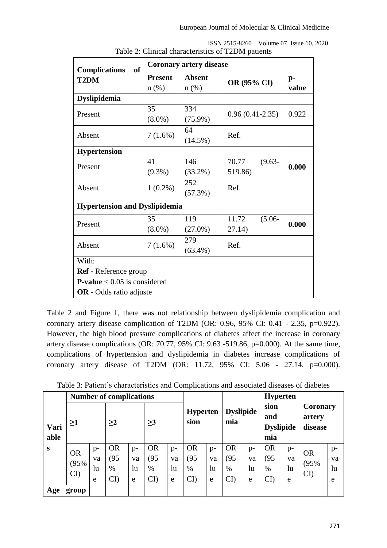| of<br><b>Complications</b>            | <b>Coronary artery disease</b> |                          |                    |               |  |
|---------------------------------------|--------------------------------|--------------------------|--------------------|---------------|--|
| T <sub>2</sub> DM                     | <b>Present</b><br>$n(\%)$      | <b>Absent</b><br>$n$ (%) | OR (95% CI)        | $p-$<br>value |  |
| <b>Dyslipidemia</b>                   |                                |                          |                    |               |  |
| Present                               | 35<br>$(8.0\%)$                | 334<br>$(75.9\%)$        | $0.96(0.41-2.35)$  | 0.922         |  |
| Absent                                | $7(1.6\%)$                     | 64<br>$(14.5\%)$         | Ref.               |               |  |
| <b>Hypertension</b>                   |                                |                          |                    |               |  |
| Present                               | 41                             | 146                      | 70.77<br>$(9.63 -$ | 0.000         |  |
|                                       | $(9.3\%)$                      | $(33.2\%)$               | 519.86)            |               |  |
| Absent                                | $1(0.2\%)$                     | 252                      | Ref.               |               |  |
|                                       |                                | (57.3%)                  |                    |               |  |
| <b>Hypertension and Dyslipidemia</b>  |                                |                          |                    |               |  |
| Present                               | 35                             | 119                      | 11.72<br>$(5.06 -$ | 0.000         |  |
|                                       | $(8.0\%)$                      | $(27.0\%)$               | 27.14)             |               |  |
| Absent                                | $7(1.6\%)$                     | 279                      | Ref.               |               |  |
|                                       |                                | $(63.4\%)$               |                    |               |  |
| With:                                 |                                |                          |                    |               |  |
| Ref - Reference group                 |                                |                          |                    |               |  |
| <b>P-value</b> $< 0.05$ is considered |                                |                          |                    |               |  |
| <b>OR</b> - Odds ratio adjuste        |                                |                          |                    |               |  |

|                                                    | ISSN 2515-8260 Volume 07, Issue 10, 2020 |
|----------------------------------------------------|------------------------------------------|
| Table 2: Clinical characteristics of T2DM patients |                                          |

Table 2 and Figure 1, there was not relationship between dyslipidemia complication and coronary artery disease complication of T2DM (OR: 0.96, 95% CI: 0.41 - 2.35, p=0.922). However, the high blood pressure complications of diabetes affect the increase in coronary artery disease complications (OR: 70.77, 95% CI: 9.63 -519.86, p=0.000). At the same time, complications of hypertension and dyslipidemia in diabetes increase complications of coronary artery disease of T2DM (OR: 11.72, 95% CI: 5.06 - 27.14, p=0.000).

|                  | <b>Number of complications</b> |          |              |                  |              | <b>Hyperten</b> |                            |                 |                  |                  |                        |      |                           |      |
|------------------|--------------------------------|----------|--------------|------------------|--------------|-----------------|----------------------------|-----------------|------------------|------------------|------------------------|------|---------------------------|------|
|                  |                                |          |              |                  |              |                 |                            | <b>Hyperten</b> |                  | <b>Dyslipide</b> |                        |      | <b>Coronary</b><br>artery |      |
| $\geq$ 1<br>Vari |                                | $\geq$ 2 |              | sion<br>$\geq$ 3 |              |                 | mia                        |                 | <b>Dyslipide</b> |                  | disease                |      |                           |      |
| able             |                                |          |              |                  |              |                 |                            |                 |                  |                  | mia                    |      |                           |      |
| S                | <b>OR</b>                      | $p-$     | <b>OR</b>    | $p-$             | <b>OR</b>    | $p-$            | <b>OR</b>                  | $p-$            | <b>OR</b>        | $p-$             | <b>OR</b>              | $p-$ | <b>OR</b>                 | $p-$ |
|                  | (95%                           | va       | 95           | va               | (95)         | va              | (95)                       | va              | (95)             | va               | (95)                   | va   | (95%                      | va   |
|                  |                                | lu       | $\%$         | lu               | $\%$         | $\ln$           | $\%$                       | lu              | $\%$             | lu               | $\%$                   | lu   |                           | lu   |
|                  | $\mathbf{C}$                   | e        | $\mathbf{C}$ | e                | $\mathbf{C}$ | e               | $\mathop{\rm CD}\nolimits$ | e               | $\mathbf{C}$     | e                | $\overline{\text{CD}}$ | e    | $\mathbf{C}$              | e    |
| Age              | group                          |          |              |                  |              |                 |                            |                 |                  |                  |                        |      |                           |      |

Table 3: Patient's characteristics and Complications and associated diseases of diabetes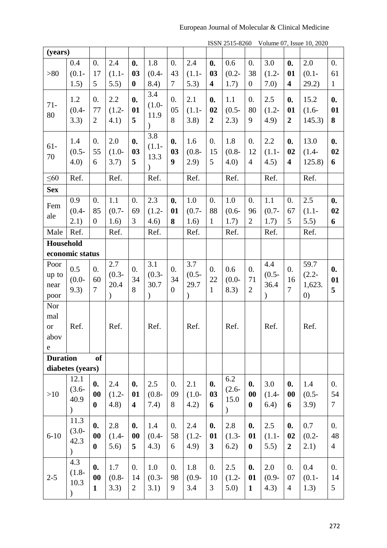# European Journal of Molecular & Clinical Medicine

| (years)                                        |                                           |                                          |                                          |                                                     |                                          |                                            |                                          | 10011201000                                  |                                          |                                                     |                                          | $\frac{1}{2}$ order $\frac{1}{2}$ order $\frac{1}{2}$ or $\frac{1}{2}$ order |                                                 |                                          |
|------------------------------------------------|-------------------------------------------|------------------------------------------|------------------------------------------|-----------------------------------------------------|------------------------------------------|--------------------------------------------|------------------------------------------|----------------------------------------------|------------------------------------------|-----------------------------------------------------|------------------------------------------|------------------------------------------------------------------------------|-------------------------------------------------|------------------------------------------|
|                                                | 0.4                                       | $\overline{0}$ .                         | 2.4                                      | $\mathbf{0}$ .                                      | 1.8                                      | $\overline{0}$ .                           | 2.4                                      | $\mathbf{0}$ .                               | 0.6                                      | $\overline{0}$ .                                    | 3.0                                      | $\mathbf{0}$ .                                                               | 2.0                                             | $\overline{0}$ .                         |
| >80                                            | $(0.1 -$                                  | 17                                       | $(1.1 -$                                 | 03                                                  | $(0.4 -$                                 | 43                                         | $(1.1 -$                                 | 03                                           | $(0.2 -$                                 | 38                                                  | $(1.2 -$                                 | 01                                                                           | $(0.1 -$                                        | 61                                       |
|                                                | 1.5)                                      | 5                                        | 5.5)                                     | $\bf{0}$                                            | 8.4)                                     | $\overline{7}$                             | 5.3)                                     | $\overline{\mathbf{4}}$                      | 1.7)                                     | $\boldsymbol{0}$                                    | 7.0)                                     | $\overline{\mathbf{4}}$                                                      | 29.2)                                           | $\mathbf{1}$                             |
| $71 -$<br>80                                   | 1.2<br>$(0.4 -$<br>3.3)                   | $\theta$ .<br>77<br>$\overline{2}$       | 2.2<br>$(1.2 -$<br>4.1)                  | $\mathbf{0}$ .<br>01<br>5                           | 3.4<br>$(1.0-$<br>11.9<br>$\mathcal{E}$  | 0.<br>05<br>8                              | 2.1<br>$(1.1 -$<br>3.8)                  | $\boldsymbol{0}$ .<br>02<br>$\boldsymbol{2}$ | 1.1<br>$(0.5 -$<br>2.3)                  | 0.<br>80<br>9                                       | 2.5<br>$(1.2 -$<br>(4.9)                 | $\mathbf{0}$ .<br>01<br>$\overline{2}$                                       | 15.2<br>$(1.6-$<br>145.3)                       | $\boldsymbol{0}$ .<br>01<br>8            |
| $61-$<br>70                                    | 1.4<br>$(0.5 -$<br>4.0)                   | $\overline{0}$ .<br>55<br>6              | 2.0<br>$(1.0-$<br>3.7)                   | $\mathbf{0}$ .<br>03<br>5                           | 3.8<br>$(1.1 -$<br>13.3<br>$\mathcal{E}$ | $\mathbf{0}$ .<br>03<br>9                  | 1.6<br>$(0.8 -$<br>(2.9)                 | 0.<br>15<br>5                                | 1.8<br>$(0.8 -$<br>(4.0)                 | 0.<br>12<br>$\overline{4}$                          | 2.2<br>$(1.1 -$<br>4.5)                  | $\mathbf{0}$ .<br>02<br>$\overline{\mathbf{4}}$                              | 13.0<br>$(1.4-$<br>125.8                        | $\mathbf{0}$ .<br>02<br>6                |
| $\leq 60$                                      | Ref.                                      |                                          | Ref.                                     |                                                     | Ref.                                     |                                            | Ref.                                     |                                              | Ref.                                     |                                                     | Ref.                                     |                                                                              | Ref.                                            |                                          |
| <b>Sex</b>                                     |                                           |                                          |                                          |                                                     |                                          |                                            |                                          |                                              |                                          |                                                     |                                          |                                                                              |                                                 |                                          |
| Fem                                            | 0.9                                       | $\theta$ .                               | 1.1                                      | 0.                                                  | 2.3                                      | $\mathbf{0}$ .                             | $1.0\,$                                  | 0.                                           | $1.0\,$                                  | 0.                                                  | 1.1                                      | $\overline{0}$ .                                                             | 2.5                                             | $\mathbf{0}$ .                           |
| ale                                            | $(0.4 -$                                  | 85                                       | $(0.7 -$                                 | 69                                                  | $(1.2 -$                                 | 01                                         | $(0.7 -$                                 | 88                                           | $(0.6 -$                                 | 96                                                  | $(0.7 -$                                 | 67                                                                           | $(1.1 -$                                        | 02                                       |
|                                                | 2.1)                                      | $\overline{0}$                           | 1.6)                                     | 3                                                   | 4.6)                                     | 8                                          | 1.6)                                     | $\mathbf{1}$                                 | 1.7)                                     | $\overline{2}$                                      | 1.7)                                     | 5                                                                            | 5.5)                                            | 6                                        |
| Male                                           | Ref.                                      |                                          | Ref.                                     |                                                     | Ref.                                     |                                            | Ref.                                     |                                              | Ref.                                     |                                                     | Ref.                                     |                                                                              | Ref.                                            |                                          |
| Household                                      |                                           |                                          |                                          |                                                     |                                          |                                            |                                          |                                              |                                          |                                                     |                                          |                                                                              |                                                 |                                          |
|                                                | economic status                           |                                          |                                          |                                                     |                                          |                                            |                                          |                                              |                                          |                                                     |                                          |                                                                              |                                                 |                                          |
| Poor<br>up to<br>near<br>poor                  | 0.5<br>$(0.0 -$<br>9.3)                   | $\overline{0}$ .<br>60<br>$\overline{7}$ | 2.7<br>$(0.3 -$<br>20.4<br>$\mathcal{E}$ | $\overline{0}$ .<br>34<br>8                         | 3.1<br>$(0.3 -$<br>30.7<br>$\mathcal{C}$ | $\overline{0}$ .<br>34<br>$\boldsymbol{0}$ | 3.7<br>$(0.5 -$<br>29.7<br>$\mathcal{L}$ | 0.<br>22<br>$\mathbf{1}$                     | 0.6<br>$(0.0 -$<br>8.3)                  | 0.<br>71<br>$\overline{2}$                          | 4.4<br>$(0.5 -$<br>36.4<br>$\mathcal{C}$ | $\overline{0}$ .<br>16<br>$\overline{7}$                                     | 59.7<br>$(2.2 -$<br>1,623.<br>$\left( 0\right)$ | $\boldsymbol{0}$ .<br>01<br>5            |
| Nor<br>mal<br><b>or</b><br>abov<br>$\mathbf e$ | Ref.                                      |                                          | Ref.                                     |                                                     | Ref.                                     |                                            | Ref.                                     |                                              | Ref.                                     |                                                     | Ref.                                     |                                                                              | Ref.                                            |                                          |
| <b>Duration</b>                                |                                           | <b>of</b>                                |                                          |                                                     |                                          |                                            |                                          |                                              |                                          |                                                     |                                          |                                                                              |                                                 |                                          |
|                                                | diabetes (years)                          |                                          |                                          |                                                     |                                          |                                            |                                          |                                              |                                          |                                                     |                                          |                                                                              |                                                 |                                          |
| >10                                            | 12.1<br>$(3.6 -$<br>40.9<br>$\mathcal{E}$ | $\mathbf{0}$ .<br>00<br>$\bf{0}$         | 2.4<br>$(1.2 -$<br>(4.8)                 | $\boldsymbol{0}$ .<br>01<br>$\overline{\mathbf{4}}$ | 2.5<br>$(0.8 -$<br>7.4)                  | $\overline{0}$ .<br>09<br>8                | 2.1<br>$(1.0 -$<br>4.2)                  | $\mathbf{0}$ .<br>03<br>6                    | 6.2<br>$(2.6 -$<br>15.0<br>$\mathcal{E}$ | $\boldsymbol{0}$ .<br>$\boldsymbol{00}$<br>$\bf{0}$ | 3.0<br>$(1.4-$<br>6.4)                   | $\mathbf{0}$ .<br>$\boldsymbol{00}$<br>6                                     | 1.4<br>$(0.5 -$<br>3.9)                         | $\overline{0}$ .<br>54<br>$\tau$         |
| $6 - 10$                                       | 11.3<br>$(3.0 -$<br>42.3<br>$\mathcal{L}$ | $\mathbf{0}$ .<br>00<br>$\bf{0}$         | 2.8<br>$(1.4 -$<br>5.6)                  | $\mathbf{0}$ .<br>00<br>5                           | 1.4<br>$(0.4 -$<br>4.3)                  | $\overline{0}$ .<br>58<br>6                | 2.4<br>$(1.2 -$<br>(4.9)                 | $\mathbf{0}$ .<br>01<br>3                    | 2.8<br>$(1.3-$<br>6.2)                   | $\boldsymbol{0}$ .<br>01<br>$\boldsymbol{0}$        | 2.5<br>$(1.1 -$<br>5.5)                  | $\mathbf{0}$ .<br>02<br>$\overline{2}$                                       | 0.7<br>$(0.2 -$<br>2.1)                         | $\overline{0}$ .<br>48<br>$\overline{4}$ |
| $2 - 5$                                        | 4.3<br>$(1.8 -$<br>10.3<br>$\mathcal{L}$  | $\mathbf{0}$ .<br>00<br>1                | 1.7<br>$(0.8 -$<br>3.3)                  | $\overline{0}$ .<br>14<br>$\overline{2}$            | 1.0<br>$(0.3 -$<br>3.1)                  | $\overline{0}$ .<br>98<br>9                | 1.8<br>$(0.9 -$<br>3.4                   | 0.<br>10<br>3                                | 2.5<br>$(1.2 -$<br>5.0)                  | $\boldsymbol{0}$ .<br>01<br>$\mathbf{1}$            | 2.0<br>$(0.9 -$<br>4.3)                  | $\overline{0}$ .<br>07<br>$\overline{4}$                                     | 0.4<br>$(0.1 -$<br>1.3)                         | $\overline{0}$ .<br>14<br>5              |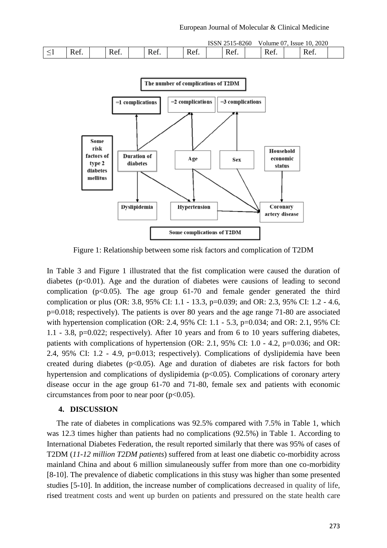|          |                       |                                                                |                       |      | <b>TO ONT</b><br>י וטטו | 5-8260                                    | Volume $01$ . | <i>ssue</i> | 2020<br>10.                      |  |
|----------|-----------------------|----------------------------------------------------------------|-----------------------|------|-------------------------|-------------------------------------------|---------------|-------------|----------------------------------|--|
| $ \cdot$ | R ≏1<br>ww.<br>______ | $\sqrt{2}$<br>$\overline{\phantom{a}}$<br><b>΄</b> Α΄<br>1101. | ∽<br>Δt<br>ĸ<br>1701. | Ref. |                         | $\overline{\phantom{a}}$<br>R et<br>TTCT. | KΔ.<br>ww.    |             | $\overline{\phantom{a}}$<br>Ket. |  |



Figure 1: Relationship between some risk factors and complication of T2DM

In Table 3 and Figure 1 illustrated that the fist complication were caused the duration of diabetes ( $p<0.01$ ). Age and the duration of diabetes were causions of leading to second complication ( $p<0.05$ ). The age group 61-70 and female gender generated the third complication or plus (OR: 3.8, 95% CI: 1.1 - 13.3, p=0.039; and OR: 2.3, 95% CI: 1.2 - 4.6, p=0.018; respectively). The patients is over 80 years and the age range 71-80 are associated with hypertension complication (OR: 2.4, 95% CI: 1.1 - 5.3, p=0.034; and OR: 2.1, 95% CI: 1.1 - 3.8, p=0.022; respectively). After 10 years and from 6 to 10 years suffering diabetes, patients with complications of hypertension (OR: 2.1, 95% CI: 1.0 - 4.2, p=0.036; and OR: 2.4, 95% CI: 1.2 - 4.9, p=0.013; respectively). Complications of dyslipidemia have been created during diabetes  $(p<0.05)$ . Age and duration of diabetes are risk factors for both hypertension and complications of dyslipidemia (p<0.05). Complications of coronary artery disease occur in the age group 61-70 and 71-80, female sex and patients with economic circumstances from poor to near poor  $(p<0.05)$ .

#### **4. DISCUSSION**

 The rate of diabetes in complications was 92.5% compared with 7.5% in Table 1, which was 12.3 times higher than patients had no complications (92.5%) in Table 1. According to International Diabetes Federation, the result reported similarly that there was 95% of cases of T2DM (*11-12 million T2DM patients*) suffered from at least one diabetic co-morbidity across mainland China and about 6 million simulaneously suffer from more than one co-morbidity [8-10]. The prevalence of diabetic complications in this stusy was higher than some presented studies [5-10]. In addition, the increase number of complications decreased in quality of life, rised treatment costs and went up burden on patients and pressured on the state health care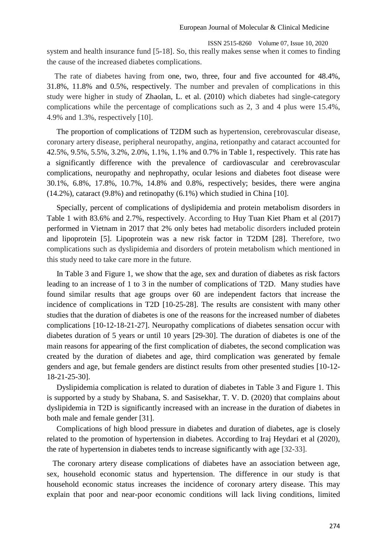ISSN 2515-8260 Volume 07, Issue 10, 2020 system and health insurance fund [5-18]. So, this really makes sense when it comes to finding the cause of the increased diabetes complications.

 The rate of diabetes having from one, two, three, four and five accounted for 48.4%, 31.8%, 11.8% and 0.5%, respectively. The number and prevalen of complications in this study were higher in study of Zhaolan, L. et al. (2010) which diabetes had single-category complications while the percentage of complications such as 2, 3 and 4 plus were 15.4%, 4.9% and 1.3%, respectively [10].

 The proportion of complications of T2DM such as hypertension, cerebrovascular disease, coronary artery disease, peripheral neuropathy, angina, retionpathy and cataract accounted for 42.5%, 9.5%, 5.5%, 3.2%, 2.0%, 1.1%, 1.1% and 0.7% in Table 1, respectively. This rate has a significantly difference with the prevalence of cardiovascular and cerebrovascular complications, neuropathy and nephropathy, ocular lesions and diabetes foot disease were 30.1%, 6.8%, 17.8%, 10.7%, 14.8% and 0.8%, respectively; besides, there were angina (14.2%), cataract (9.8%) and retinopathy (6.1%) which studied in China [10].

 Specially, percent of complications of dyslipidemia and protein metabolism disorders in Table 1 with 83.6% and 2.7%, respectively. According to Huy Tuan Kiet Pham et al (2017) performed in Vietnam in 2017 that 2% only betes had metabolic disorders included protein and lipoprotein [5]. Lipoprotein was a new risk factor in T2DM [28]. Therefore, two complications such as dyslipidemia and disorders of protein metabolism which mentioned in this study need to take care more in the future.

 In Table 3 and Figure 1, we show that the age, sex and duration of diabetes as risk factors leading to an increase of 1 to 3 in the number of complications of T2D. Many studies have found similar results that age groups over 60 are independent factors that increase the incidence of complications in T2D [10-25-28]. The results are consistent with many other studies that the duration of diabetes is one of the reasons for the increased number of diabetes complications [10-12-18-21-27]. Neuropathy complications of diabetes sensation occur with diabetes duration of 5 years or until 10 years [29-30]. The duration of diabetes is one of the main reasons for appearing of the first complication of diabetes, the second complication was created by the duration of diabetes and age, third complication was generated by female genders and age, but female genders are distinct results from other presented studies [10-12- 18-21-25-30].

 Dyslipidemia complication is related to duration of diabetes in Table 3 and Figure 1. This is supported by a study by Shabana, S. and Sasisekhar, T. V. D. (2020) that complains about dyslipidemia in T2D is significantly increased with an increase in the duration of diabetes in both male and female gender [31].

 Complications of high blood pressure in diabetes and duration of diabetes, age is closely related to the promotion of hypertension in diabetes. According to Iraj Heydari et al (2020), the rate of hypertension in diabetes tends to increase significantly with age [32-33].

The coronary artery disease complications of diabetes have an association between age, sex, household economic status and hypertension. The difference in our study is that household economic status increases the incidence of coronary artery disease. This may explain that poor and near-poor economic conditions will lack living conditions, limited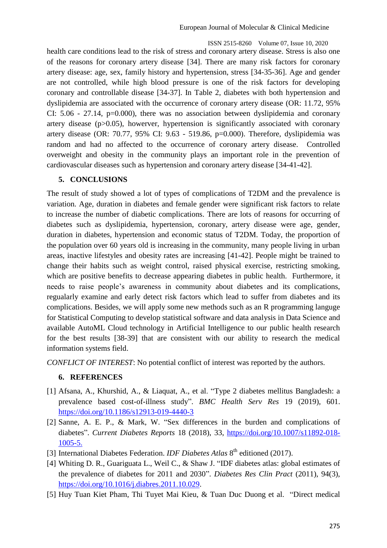health care conditions lead to the risk of stress and coronary artery disease. Stress is also one of the reasons for coronary artery disease [34]. There are many risk factors for coronary artery disease: age, sex, family history and hypertension, stress [34-35-36]. Age and gender are not controlled, while high blood pressure is one of the risk factors for developing coronary and controllable disease [34-37]. In Table 2, diabetes with both hypertension and dyslipidemia are associated with the occurrence of coronary artery disease (OR: 11.72, 95% CI: 5.06 - 27.14, p=0.000), there was no association between dyslipidemia and coronary artery disease (p>0.05), howerver, hypertension is significantly associated with coronary artery disease (OR: 70.77, 95% CI: 9.63 - 519.86, p=0.000). Therefore, dyslipidemia was random and had no affected to the occurrence of coronary artery disease. Controlled overweight and obesity in the community plays an important role in the prevention of cardiovascular diseases such as hypertension and coronary artery disease [34-41-42].

#### **5. CONCLUSIONS**

The result of study showed a lot of types of complications of T2DM and the prevalence is variation. Age, duration in diabetes and female gender were significant risk factors to relate to increase the number of diabetic complications. There are lots of reasons for occurring of diabetes such as dyslipidemia, hypertension, coronary, artery disease were age, gender, duration in diabetes, hypertension and economic status of T2DM. Today, the proportion of the population over 60 years old is increasing in the community, many people living in urban areas, inactive lifestyles and obesity rates are increasing [41-42]. People might be trained to change their habits such as weight control, raised physical exercise, restricting smoking, which are positive benefits to decrease appearing diabetes in public health. Furthermore, it needs to raise people's awareness in community about diabetes and its complications, regualarly examine and early detect risk factors which lead to suffer from diabetes and its complications. Besides, we will apply some new methods such as an R programming languge for Statistical Computing to develop statistical software and data analysis in Data Science and available AutoML Cloud technology in Artificial Intelligence to our public health research for the best results [38-39] that are consistent with our ability to research the medical information systems field.

*CONFLICT OF INTEREST*: No potential conflict of interest was reported by the authors.

# **6. REFERENCES**

- [1] Afsana, A., Khurshid, A., & Liaquat, A., et al. "Type 2 diabetes mellitus Bangladesh: a prevalence based cost-of-illness study". *BMC Health Serv Res* 19 (2019), 601. <https://doi.org/10.1186/s12913-019-4440-3>
- [2] Sanne, A. E. P., & Mark, W. "Sex differences in the burden and complications of diabetes". *Current Diabetes Reports* 18 (2018), 33, [https://doi.org/10.1007/s11892-018-](https://doi.org/10.1007/s11892-018-1005-5) [1005-5.](https://doi.org/10.1007/s11892-018-1005-5)
- [3] International Diabetes Federation. *IDF Diabetes Atlas* 8<sup>th</sup> editioned (2017).
- [4] Whiting D. R., Guariguata L., Weil C., & Shaw J. "IDF diabetes atlas: global estimates of the prevalence of diabetes for 2011 and 2030". *Diabetes Res Clin Pract* (2011), 94(3), [https://doi.org/10.1016/j.diabres.2011.10.029.](https://doi.org/10.1016/j.diabres.2011.10.029)
- [5] Huy Tuan Kiet Pham, Thi Tuyet Mai Kieu, & Tuan Duc Duong et al. "Direct medical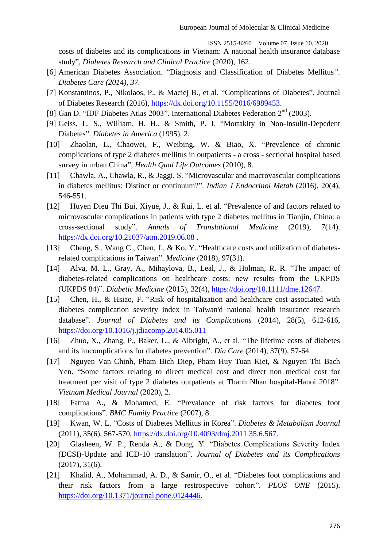costs of diabetes and its complications in Vietnam: A national health insurance database study", *Diabetes Research and Clinical Practice* (2020), 162.

- [6] American Diabetes Association. "Diagnosis and Classification of [Diabetes Mellitus](http://www.idf.org/about-diabetes/what-is-diabetes.html)*". Diabetes Care (2014), 37.*
- [7] Konstantinos, P., Nikolaos, P., & Maciej B., et al. "Complications of Diabetes". Journal of Diabetes Research (2016), [https://dx.doi.org/10.1155/2016/6989453.](https://dx.doi.org/10.1155/2016/6989453)
- [8] Gan D. "IDF Diabetes Atlas 2003". International Diabetes Federation 2<sup>nd</sup> (2003).
- [9] Geiss, L. S., William, H. H., & Smith, P. J. "Mortakity in Non-Insulin-Depedent Diabetes". *Diabetes in America* (1995), 2.
- [10] Zhaolan, L., Chaowei, F., Weibing, W. & Biao, X. "Prevalence of chronic complications of type 2 diabetes mellitus in outpatients - a cross - sectional hospital based survey in urban China", *Health Qual Life Outcomes* (2010), 8.
- [11] Chawla, A., Chawla, R., & Jaggi, S. "Microvascular and macrovascular complications in diabetes mellitus: Distinct or continuum?". *Indian J Endocrinol Metab* (2016), 20(4), 546-551.
- [12] Huyen Dieu Thi Bui, Xiyue, J., & Rui, L. et al. "Prevalence of and factors related to microvascular complications in patients with type 2 diabetes mellitus in Tianjin, China: a cross-sectional study". *Annals of Translational Medicine* (2019), 7(14). <https://dx.doi.org/10.21037/atm.2019.06.08> .
- [13] Cheng, S., Wang C., Chen, J., & Ko, Y. "Healthcare costs and utilization of diabetesrelated complications in Taiwan". *Medicine* (2018), 97(31).
- [14] Alva, M. L., Gray, A., Mihaylova, B., Leal, J., & Holman, R. R. "The impact of diabetes-related complications on healthcare costs: new results from the UKPDS (UKPDS 84)". *Diabetic Medicine* (2015), 32(4), [https://doi.org/10.1111/dme.12647.](https://doi.org/10.1111/dme.12647)
- [15] Chen, H., & Hsiao, F. "Risk of hospitalization and healthcare cost associated with diabetes complication severity index in Taiwan'd national health insurance research database". *Journal of Diabetes and its Complications* (2014), 28(5), 612-616, <https://doi.org/10.1016/j.jdiacomp.2014.05.011>
- [16] Zhuo, X., Zhang, P., Baker, L., & Albright, A., et al. "The lifetime costs of diabetes and its imcomplications for diabetes prevention". *Dia Care* (2014), 37(9), 57-64.
- [17] Nguyen Van Chinh, Pham Bich Diep, Pham Huy Tuan Kiet, & Nguyen Thi Bach Yen. "Some factors relating to direct medical cost and direct non medical cost for treatment per visit of type 2 diabetes outpatients at Thanh Nhan hospital-Hanoi 2018". *Vietnam Medical Journal* (2020), 2.
- [18] Fatma A., & Mohamed, E. "Prevalance of risk factors for diabetes foot complications". *BMC Family Practice* (2007), 8.
- [19] Kwan, W. L. "Costs of Diabetes Mellitus in Korea". *Diabetes & Metabolism Journal* (2011), 35(6), 567-570, [https://dx.doi.org/10.4093/dmj.2011.35.6.567.](https://dx.doi.org/10.4093/dmj.2011.35.6.567)
- [20] Glasheen, W. P., Renda A., & Dong. Y. "Diabetes Complications Severity Index (DCSI)-Update and ICD-10 translation". *Journal of Diabetes and its Complications* (2017), 31(6).
- [21] Khalid, A., Mohammad, A. D., & Samir, O., et al. "Diabetes foot complications and their risk factors from a large restrospective cohort". *PLOS ONE* (2015). [https://doi.org/10.1371/journal.pone.0124446.](https://doi.org/10.1371/journal.pone.0124446)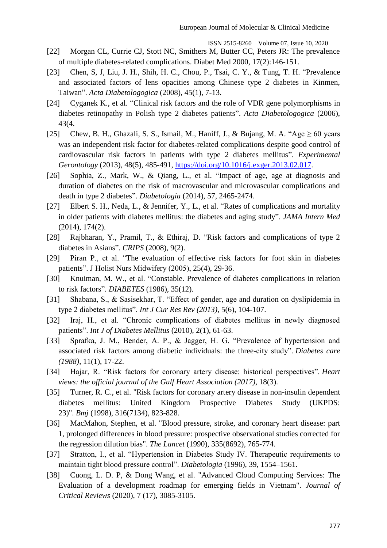- [22] Morgan CL, Currie CJ, Stott NC, Smithers M, Butter CC, Peters JR: The prevalence of multiple diabetes-related complications. Diabet Med 2000, 17(2):146-151.
- [23] Chen, S, J, Liu, J. H., Shih, H. C., Chou, P., Tsai, C. Y., & Tung, T. H. "Prevalence and associated factors of lens opacities among Chinese type 2 diabetes in Kinmen, Taiwan". *Acta Diabetologogica* (2008), 45(1), 7-13.
- [24] Cyganek K., et al. "Clinical risk factors and the role of VDR gene polymorphisms in diabetes retinopathy in Polish type 2 diabetes patients". *Acta Diabetologogica* (2006), 43(4.
- [25] Chew, B. H., Ghazali, S. S., Ismail, M., Haniff, J., & Bujang, M. A. "Age  $\geq 60$  years was an independent risk factor for diabetes-related complications despite good control of cardiovascular risk factors in patients with type 2 diabetes mellitus". *Experimental Gerontology* (2013), 48(5), 485-491, [https://doi.org/10.1016/j.exger.2013.02.017.](https://doi.org/10.1016/j.exger.2013.02.017)
- [26] Sophia, Z., Mark, W., & Qiang, L., et al. "Impact of age, age at diagnosis and duration of diabetes on the risk of macrovascular and microvascular complications and death in type 2 diabetes". *Diabetologia* (2014), 57, 2465-2474.
- [27] Elbert S. H., Neda, L., & Jennifer, Y., L., et al. "Rates of complications and mortality in older patients with diabetes mellitus: the diabetes and aging study". *JAMA Intern Med* (2014), 174(2).
- [28] Rajbharan, Y., Pramil, T., & Ethiraj, D. "Risk factors and complications of type 2 diabetes in Asians". *CRIPS* (2008), 9(2).
- [29] Piran P., et al. "The evaluation of effective risk factors for foot skin in diabetes patients". J Holist Nurs Midwifery (2005), 25(4), 29-36.
- [30] Knuiman, M. W., et al. "Constable. Prevalence of diabetes complications in relation to risk factors". *DIABETES* (1986), 35(12).
- [31] Shabana, S., & Sasisekhar, T. "Effect of gender, age and duration on dyslipidemia in type 2 diabetes mellitus". *Int J Cur Res Rev (2013)*, 5(6), 104-107.
- [32] Iraj, H., et al. "Chronic complications of diabetes mellitus in newly diagnosed patients". *Int J of Diabetes Mellitus* (2010), 2(1), 61-63.
- [33] Sprafka, J. M., Bender, A. P., & Jagger, H. G. "Prevalence of hypertension and associated risk factors among diabetic individuals: the three-city study". *Diabetes care (1988)*, 11(1), 17-22.
- [34] Hajar, R. "Risk factors for coronary artery disease: historical perspectives". *Heart views: the official journal of the Gulf Heart Association (2017)*, 18(3).
- [35] Turner, R. C., et al. "Risk factors for coronary artery disease in non-insulin dependent diabetes mellitus: United Kingdom Prospective Diabetes Study (UKPDS: 23)". *Bmj* (1998), 316(7134), 823-828.
- [36] MacMahon, Stephen, et al. "Blood pressure, stroke, and coronary heart disease: part 1, prolonged differences in blood pressure: prospective observational studies corrected for the regression dilution bias". *The Lancet* (1990), 335(8692), 765-774.
- [37] Stratton, I., et al. "Hypertension in Diabetes Study IV. Therapeutic requirements to maintain tight blood pressure control". *Diabetologia* (1996), 39, 1554–1561.
- [38] Cuong, L. D. P, & Dong Wang, et al. "Advanced Cloud Computing Services: The Evaluation of a development roadmap for emerging fields in Vietnam". *Journal of Critical Reviews* (2020), 7 (17), 3085-3105.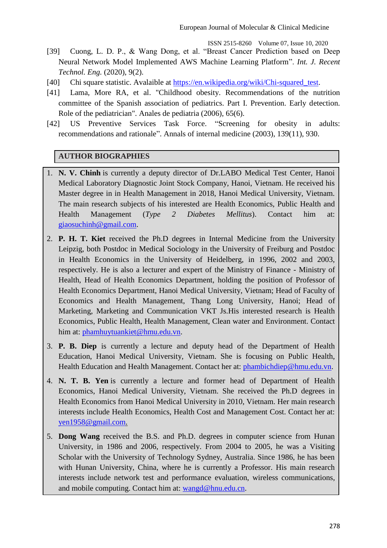- [39] Cuong, L. D. P., & Wang Dong, et al. "Breast Cancer Prediction based on Deep Neural Network Model Implemented AWS Machine Learning Platform". *Int. J. Recent Technol. Eng.* (2020), 9(2).
- [40] Chi square statistic. Avalaible at [https://en.wikipedia.org/wiki/Chi-squared\\_test.](https://en.wikipedia.org/wiki/Chi-squared_test)
- [41] Lama, More RA, et al. "Childhood obesity. Recommendations of the nutrition committee of the Spanish association of pediatrics. Part I. Prevention. Early detection. Role of the pediatrician". Anales de pediatria (2006), 65(6).
- [42] US Preventive Services Task Force. "Screening for obesity in adults: recommendations and rationale". Annals of internal medicine (2003), 139(11), 930.

# **AUTHOR BIOGRAPHIES**

- 1. **N. V. Chinh** is currently a deputy director of Dr.LABO Medical Test Center, Hanoi Medical Laboratory Diagnostic Joint Stock Company, Hanoi, Vietnam. He received his Master degree in in Health Management in 2018, Hanoi Medical University, Vietnam. The main research subjects of his interested are Health Economics, Public Health and Health Management (*Type 2 Diabetes Mellitus*). Contact him at: [giaosuchinh@gmail.com.](mailto:giaosuchinh@gmail.com)
- 2. **P. H. T. Kiet** received the Ph.D degrees in Internal Medicine from the University Leipzig, both Postdoc in Medical Sociology in the University of Freiburg and Postdoc in Health Economics in the University of Heidelberg, in 1996, 2002 and 2003, respectively. He is also a lecturer and expert of the Ministry of Finance - Ministry of Health, Head of Health Economics Department, holding the position of Professor of Health Economics Department, Hanoi Medical University, Vietnam; Head of Faculty of Economics and Health Management, Thang Long University, Hanoi; Head of Marketing, Marketing and Communication VKT Js.His interested research is Health Economics, Public Health, Health Management, Clean water and Environment. Contact him at: [phamhuytuankiet@hmu.edu.vn.](mailto:phamhuytuankiet@hmu.edu.vn)
- 3. **P. B. Diep** is currently a lecture and deputy head of the Department of Health Education, Hanoi Medical University, Vietnam. She is focusing on Public Health, Health Education and Health Management. Contact her at: [phambichdiep@hmu.edu.vn.](mailto:phambichdiep@hmu.edu.vn)
- 4. **N. T. B. Yen** is currently a lecture and former head of Department of Health Economics, Hanoi Medical University, Vietnam. She received the Ph.D degrees in Health Economics from Hanoi Medical University in 2010, Vietnam. Her main research interests include Health Economics, Health Cost and Management Cost. Contact her at: [yen1958@gmail.com.](mailto:yen1958@gmail.com)
- 5. **Dong Wang** received the B.S. and Ph.D. degrees in computer science from Hunan University, in 1986 and 2006, respectively. From 2004 to 2005, he was a Visiting Scholar with the University of Technology Sydney, Australia. Since 1986, he has been with Hunan University, China, where he is currently a Professor. His main research interests include network test and performance evaluation, wireless communications, and mobile computing. Contact him at: [wangd@hnu.edu.cn.](mailto:wangd@hnu.edu.cn)